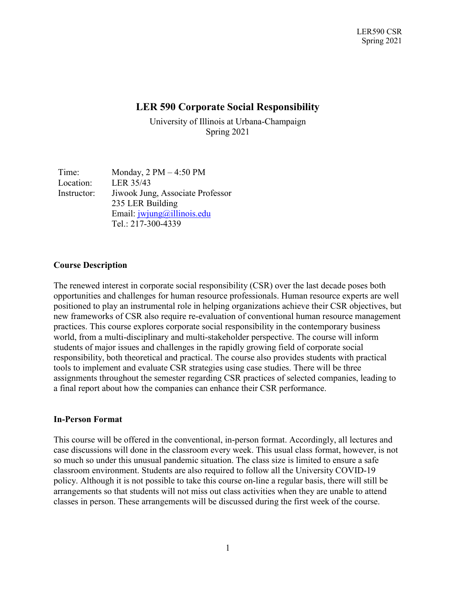# **LER 590 Corporate Social Responsibility**

University of Illinois at Urbana-Champaign Spring 2021

Time: Monday, 2 PM – 4:50 PM Location: LER 35/43 Instructor: Jiwook Jung, Associate Professor 235 LER Building Email: [jwjung@illinois.edu](mailto:jwjung@illinois.edu) Tel.: 217-300-4339

#### **Course Description**

The renewed interest in corporate social responsibility (CSR) over the last decade poses both opportunities and challenges for human resource professionals. Human resource experts are well positioned to play an instrumental role in helping organizations achieve their CSR objectives, but new frameworks of CSR also require re-evaluation of conventional human resource management practices. This course explores corporate social responsibility in the contemporary business world, from a multi-disciplinary and multi-stakeholder perspective. The course will inform students of major issues and challenges in the rapidly growing field of corporate social responsibility, both theoretical and practical. The course also provides students with practical tools to implement and evaluate CSR strategies using case studies. There will be three assignments throughout the semester regarding CSR practices of selected companies, leading to a final report about how the companies can enhance their CSR performance.

#### **In-Person Format**

This course will be offered in the conventional, in-person format. Accordingly, all lectures and case discussions will done in the classroom every week. This usual class format, however, is not so much so under this unusual pandemic situation. The class size is limited to ensure a safe classroom environment. Students are also required to follow all the University COVID-19 policy. Although it is not possible to take this course on-line a regular basis, there will still be arrangements so that students will not miss out class activities when they are unable to attend classes in person. These arrangements will be discussed during the first week of the course.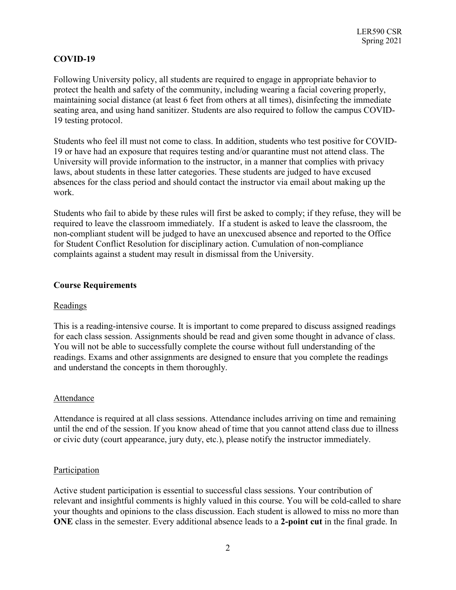# **COVID-19**

Following University policy, all students are required to engage in appropriate behavior to protect the health and safety of the community, including wearing a facial covering properly, maintaining social distance (at least 6 feet from others at all times), disinfecting the immediate seating area, and using hand sanitizer. Students are also required to follow the campus COVID-19 testing protocol.

Students who feel ill must not come to class. In addition, students who test positive for COVID-19 or have had an exposure that requires testing and/or quarantine must not attend class. The University will provide information to the instructor, in a manner that complies with privacy laws, about students in these latter categories. These students are judged to have excused absences for the class period and should contact the instructor via email about making up the work.

Students who fail to abide by these rules will first be asked to comply; if they refuse, they will be required to leave the classroom immediately. If a student is asked to leave the classroom, the non-compliant student will be judged to have an unexcused absence and reported to the Office for Student Conflict Resolution for disciplinary action. Cumulation of non-compliance complaints against a student may result in dismissal from the University.

## **Course Requirements**

#### Readings

This is a reading-intensive course. It is important to come prepared to discuss assigned readings for each class session. Assignments should be read and given some thought in advance of class. You will not be able to successfully complete the course without full understanding of the readings. Exams and other assignments are designed to ensure that you complete the readings and understand the concepts in them thoroughly.

#### Attendance

Attendance is required at all class sessions. Attendance includes arriving on time and remaining until the end of the session. If you know ahead of time that you cannot attend class due to illness or civic duty (court appearance, jury duty, etc.), please notify the instructor immediately.

#### **Participation**

Active student participation is essential to successful class sessions. Your contribution of relevant and insightful comments is highly valued in this course. You will be cold-called to share your thoughts and opinions to the class discussion. Each student is allowed to miss no more than **ONE** class in the semester. Every additional absence leads to a **2-point cut** in the final grade. In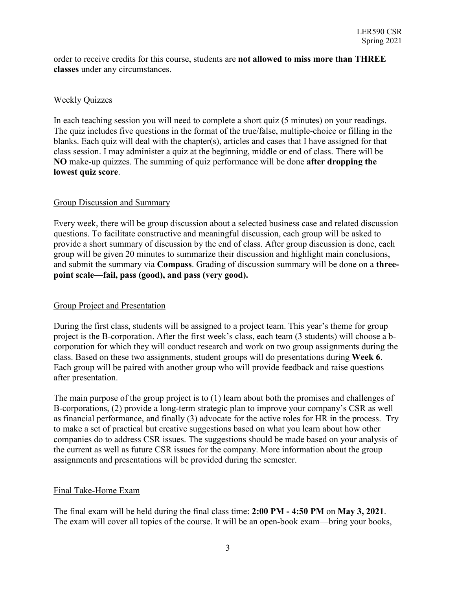order to receive credits for this course, students are **not allowed to miss more than THREE classes** under any circumstances.

### Weekly Quizzes

In each teaching session you will need to complete a short quiz (5 minutes) on your readings. The quiz includes five questions in the format of the true/false, multiple-choice or filling in the blanks. Each quiz will deal with the chapter(s), articles and cases that I have assigned for that class session. I may administer a quiz at the beginning, middle or end of class. There will be **NO** make-up quizzes. The summing of quiz performance will be done **after dropping the lowest quiz score**.

## Group Discussion and Summary

Every week, there will be group discussion about a selected business case and related discussion questions. To facilitate constructive and meaningful discussion, each group will be asked to provide a short summary of discussion by the end of class. After group discussion is done, each group will be given 20 minutes to summarize their discussion and highlight main conclusions, and submit the summary via **Compass**. Grading of discussion summary will be done on a **threepoint scale—fail, pass (good), and pass (very good).** 

# Group Project and Presentation

During the first class, students will be assigned to a project team. This year's theme for group project is the B-corporation. After the first week's class, each team (3 students) will choose a bcorporation for which they will conduct research and work on two group assignments during the class. Based on these two assignments, student groups will do presentations during **Week 6**. Each group will be paired with another group who will provide feedback and raise questions after presentation.

The main purpose of the group project is to (1) learn about both the promises and challenges of B-corporations, (2) provide a long-term strategic plan to improve your company's CSR as well as financial performance, and finally (3) advocate for the active roles for HR in the process. Try to make a set of practical but creative suggestions based on what you learn about how other companies do to address CSR issues. The suggestions should be made based on your analysis of the current as well as future CSR issues for the company. More information about the group assignments and presentations will be provided during the semester.

#### Final Take-Home Exam

The final exam will be held during the final class time: **2:00 PM - 4:50 PM** on **May 3, 2021**. The exam will cover all topics of the course. It will be an open-book exam—bring your books,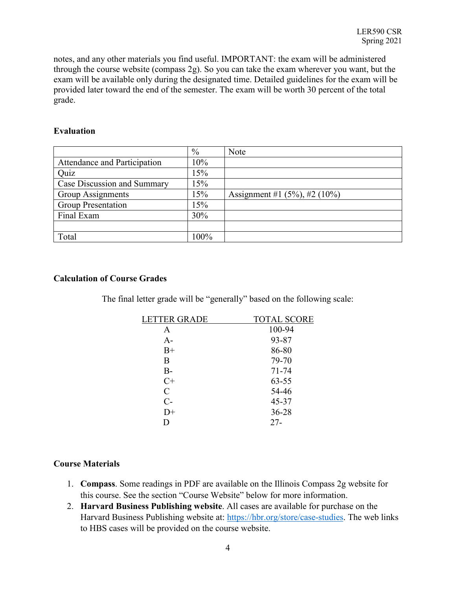notes, and any other materials you find useful. IMPORTANT: the exam will be administered through the course website (compass 2g). So you can take the exam wherever you want, but the exam will be available only during the designated time. Detailed guidelines for the exam will be provided later toward the end of the semester. The exam will be worth 30 percent of the total grade.

#### **Evaluation**

|                              | $\%$ | Note                                |
|------------------------------|------|-------------------------------------|
| Attendance and Participation | 10%  |                                     |
| Quiz                         | 15%  |                                     |
| Case Discussion and Summary  | 15%  |                                     |
| Group Assignments            | 15%  | Assignment #1 $(5\%)$ , #2 $(10\%)$ |
| Group Presentation           | 15%  |                                     |
| Final Exam                   | 30%  |                                     |
|                              |      |                                     |
| Total                        | 100% |                                     |

#### **Calculation of Course Grades**

The final letter grade will be "generally" based on the following scale:

| <b>TOTAL SCORE</b> |
|--------------------|
| 100-94             |
| 93-87              |
| 86-80              |
| 79-70              |
| $71 - 74$          |
| $63 - 55$          |
| 54-46              |
| 45-37              |
| $36 - 28$          |
| $27 -$             |
|                    |

#### **Course Materials**

- 1. **Compass**. Some readings in PDF are available on the Illinois Compass 2g website for this course. See the section "Course Website" below for more information.
- 2. **Harvard Business Publishing website**. All cases are available for purchase on the Harvard Business Publishing website at: [https://hbr.org/store/case-studies.](https://hbr.org/store/case-studies) The web links to HBS cases will be provided on the course website.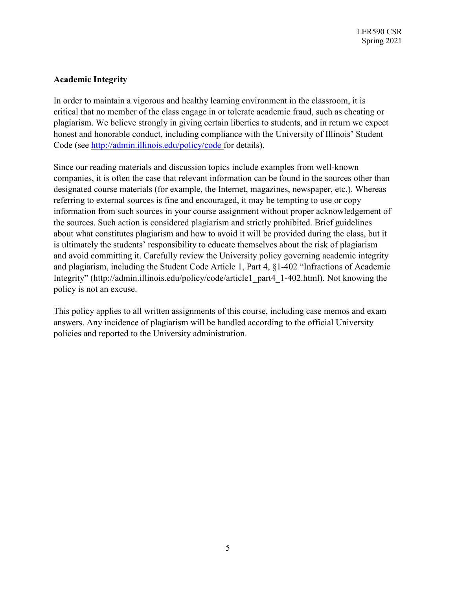# **Academic Integrity**

In order to maintain a vigorous and healthy learning environment in the classroom, it is critical that no member of the class engage in or tolerate academic fraud, such as cheating or plagiarism. We believe strongly in giving certain liberties to students, and in return we expect honest and honorable conduct, including compliance with the University of Illinois' Student Code (see [http://admin.illinois.edu/policy/code f](http://admin.illinois.edu/policy/code)or details).

Since our reading materials and discussion topics include examples from well-known companies, it is often the case that relevant information can be found in the sources other than designated course materials (for example, the Internet, magazines, newspaper, etc.). Whereas referring to external sources is fine and encouraged, it may be tempting to use or copy information from such sources in your course assignment without proper acknowledgement of the sources. Such action is considered plagiarism and strictly prohibited. Brief guidelines about what constitutes plagiarism and how to avoid it will be provided during the class, but it is ultimately the students' responsibility to educate themselves about the risk of plagiarism and avoid committing it. Carefully review the University policy governing academic integrity and plagiarism, including the Student Code Article 1, Part 4, §1-402 "Infractions of Academic Integrity" (http://admin.illinois.edu/policy/code/article1\_part4\_1-402.html). Not knowing the policy is not an excuse.

This policy applies to all written assignments of this course, including case memos and exam answers. Any incidence of plagiarism will be handled according to the official University policies and reported to the University administration.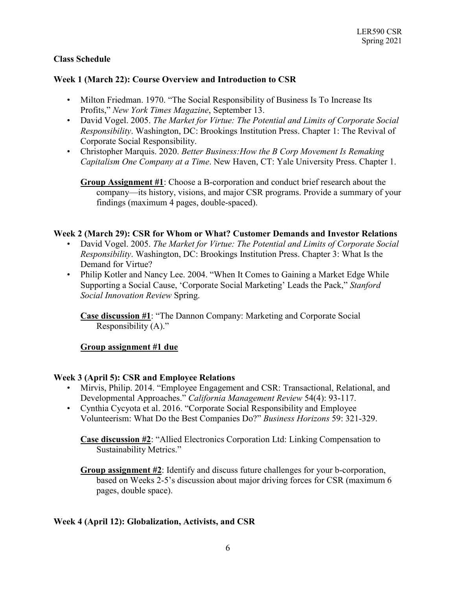## **Class Schedule**

### **Week 1 (March 22): Course Overview and Introduction to CSR**

- Milton Friedman. 1970. "The Social Responsibility of Business Is To Increase Its Profits," *New York Times Magazine*, September 13.
- David Vogel. 2005. *The Market for Virtue: The Potential and Limits of Corporate Social Responsibility*. Washington, DC: Brookings Institution Press. Chapter 1: The Revival of Corporate Social Responsibility.
- Christopher Marquis. 2020. *Better Business:How the B Corp Movement Is Remaking Capitalism One Company at a Time*. New Haven, CT: Yale University Press. Chapter 1.

**Group Assignment #1**: Choose a B-corporation and conduct brief research about the company—its history, visions, and major CSR programs. Provide a summary of your findings (maximum 4 pages, double-spaced).

#### **Week 2 (March 29): CSR for Whom or What? Customer Demands and Investor Relations**

- David Vogel. 2005. *The Market for Virtue: The Potential and Limits of Corporate Social Responsibility*. Washington, DC: Brookings Institution Press. Chapter 3: What Is the Demand for Virtue?
- Philip Kotler and Nancy Lee. 2004. "When It Comes to Gaining a Market Edge While Supporting a Social Cause, 'Corporate Social Marketing' Leads the Pack," *Stanford Social Innovation Review* Spring.

**Case discussion #1**: "The Dannon Company: Marketing and Corporate Social Responsibility (A)."

#### **Group assignment #1 due**

#### **Week 3 (April 5): CSR and Employee Relations**

- Mirvis, Philip. 2014. "Employee Engagement and CSR: Transactional, Relational, and Developmental Approaches." *California Management Review* 54(4): 93-117.
- Cynthia Cycyota et al. 2016. "Corporate Social Responsibility and Employee Volunteerism: What Do the Best Companies Do?" *Business Horizons* 59: 321-329.

**Case discussion #2**: "Allied Electronics Corporation Ltd: Linking Compensation to Sustainability Metrics."

**Group assignment #2**: Identify and discuss future challenges for your b-corporation, based on Weeks 2-5's discussion about major driving forces for CSR (maximum 6 pages, double space).

#### **Week 4 (April 12): Globalization, Activists, and CSR**